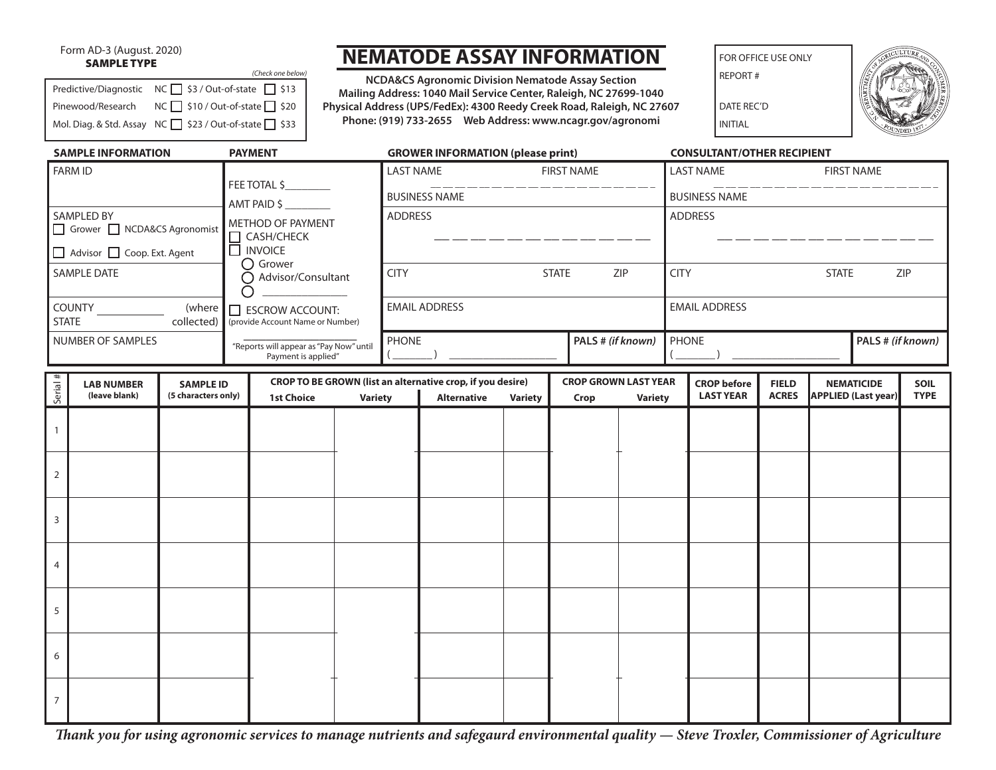#### Form AD-3 (August. 2020) SAMPLE TYPE

#### Predictive/Diagnostic  $NC \square$  \$3 / Out-of-state  $\square$  \$13 Pinewood/Research NC \$10 / Out-of-state 320 Mol. Diag. & Std. Assay NC  $\Box$  \$23 / Out-of-state  $\Box$  \$33 *(Check one below)*

# **NEMATODE ASSAY INFORMATION**

**NCDA&CS Agronomic Division Nematode Assay Section Mailing Address: 1040 Mail Service Center, Raleigh, NC 27699-1040 Physical Address (UPS/FedEx): 4300 Reedy Creek Road, Raleigh, NC 27607 Phone: (919) 733-2655 Web Address: www.ncagr.gov/agronomi**

FOR OFFICE USE ONLY

REPORT #

DATE REC'D INITIAL



| <b>SAMPLE INFORMATION</b>                  |                                       |                     |              | <b>PAYMENT</b>                          |                                              | <b>GROWER INFORMATION (please print)</b>                   |                                    |                |                             |                                   | <b>CONSULTANT/OTHER RECIPIENT</b>     |                                    |                   |                            |             |  |
|--------------------------------------------|---------------------------------------|---------------------|--------------|-----------------------------------------|----------------------------------------------|------------------------------------------------------------|------------------------------------|----------------|-----------------------------|-----------------------------------|---------------------------------------|------------------------------------|-------------------|----------------------------|-------------|--|
| <b>FARM ID</b>                             |                                       |                     |              |                                         |                                              | <b>LAST NAME</b><br><b>FIRST NAME</b>                      |                                    |                |                             |                                   | <b>LAST NAME</b><br><b>FIRST NAME</b> |                                    |                   |                            |             |  |
|                                            |                                       |                     | FEE TOTAL \$ |                                         | __ __ __ __ __ __ __<br><b>BUSINESS NAME</b> |                                                            |                                    |                |                             | _________<br><b>BUSINESS NAME</b> |                                       |                                    |                   |                            |             |  |
| AMT PAID \$<br>SAMPLED BY                  |                                       |                     |              |                                         |                                              | <b>ADDRESS</b>                                             |                                    |                |                             |                                   | <b>ADDRESS</b>                        |                                    |                   |                            |             |  |
| Grower NCDA&CS Agronomist                  |                                       |                     |              | METHOD OF PAYMENT<br>$\Box$ CASH/CHECK  |                                              |                                                            |                                    |                |                             |                                   |                                       |                                    |                   |                            |             |  |
| $\Box$ INVOICE<br>Advisor Coop. Ext. Agent |                                       |                     |              |                                         |                                              |                                                            |                                    |                |                             |                                   |                                       |                                    |                   |                            |             |  |
| SAMPLE DATE                                |                                       |                     |              | ○ Grower                                |                                              |                                                            | <b>CITY</b><br><b>STATE</b><br>ZIP |                |                             |                                   |                                       | <b>CITY</b><br><b>STATE</b><br>ZIP |                   |                            |             |  |
|                                            |                                       |                     |              | ○ Advisor/Consultant<br>∩               |                                              |                                                            |                                    |                |                             |                                   |                                       |                                    |                   |                            |             |  |
| <b>COUNTY</b><br>(where                    |                                       |                     |              | $\Box$ ESCROW ACCOUNT:                  |                                              | <b>EMAIL ADDRESS</b>                                       |                                    |                |                             |                                   | <b>EMAIL ADDRESS</b>                  |                                    |                   |                            |             |  |
| <b>STATE</b><br>collected)                 |                                       |                     |              | (provide Account Name or Number)        |                                              |                                                            |                                    |                |                             |                                   |                                       |                                    |                   |                            |             |  |
| NUMBER OF SAMPLES                          |                                       |                     |              | "Reports will appear as "Pay Now" until |                                              | PHONE                                                      |                                    |                | PALS # (if known)           |                                   | PHONE                                 |                                    | PALS # (if known) |                            |             |  |
| Payment is applied"                        |                                       |                     |              |                                         |                                              |                                                            |                                    |                |                             |                                   |                                       |                                    |                   |                            |             |  |
| Serial #                                   | <b>LAB NUMBER</b><br><b>SAMPLE ID</b> |                     |              |                                         |                                              | CROP TO BE GROWN (list an alternative crop, if you desire) |                                    |                | <b>CROP GROWN LAST YEAR</b> |                                   |                                       | <b>CROP</b> before                 | <b>FIELD</b>      | <b>NEMATICIDE</b>          | SOIL        |  |
|                                            | (leave blank)                         | (5 characters only) |              | <b>1st Choice</b>                       | <b>Variety</b>                               |                                                            | <b>Alternative</b>                 | <b>Variety</b> | Crop                        | <b>Variety</b>                    |                                       | <b>LAST YEAR</b>                   | <b>ACRES</b>      | <b>APPLIED (Last year)</b> | <b>TYPE</b> |  |
| $\mathbf{1}$                               |                                       |                     |              |                                         |                                              |                                                            |                                    |                |                             |                                   |                                       |                                    |                   |                            |             |  |
|                                            |                                       |                     |              |                                         |                                              |                                                            |                                    |                |                             |                                   |                                       |                                    |                   |                            |             |  |
|                                            |                                       |                     |              |                                         |                                              |                                                            |                                    |                |                             |                                   |                                       |                                    |                   |                            |             |  |
| 2                                          |                                       |                     |              |                                         |                                              |                                                            |                                    |                |                             |                                   |                                       |                                    |                   |                            |             |  |
|                                            |                                       |                     |              |                                         |                                              |                                                            |                                    |                |                             |                                   |                                       |                                    |                   |                            |             |  |
| 3                                          |                                       |                     |              |                                         |                                              |                                                            |                                    |                |                             |                                   |                                       |                                    |                   |                            |             |  |
|                                            |                                       |                     |              |                                         |                                              |                                                            |                                    |                |                             |                                   |                                       |                                    |                   |                            |             |  |
| $\overline{4}$                             |                                       |                     |              |                                         |                                              |                                                            |                                    |                |                             |                                   |                                       |                                    |                   |                            |             |  |
|                                            |                                       |                     |              |                                         |                                              |                                                            |                                    |                |                             |                                   |                                       |                                    |                   |                            |             |  |
| 5                                          |                                       |                     |              |                                         |                                              |                                                            |                                    |                |                             |                                   |                                       |                                    |                   |                            |             |  |
|                                            |                                       |                     |              |                                         |                                              |                                                            |                                    |                |                             |                                   |                                       |                                    |                   |                            |             |  |
| 6                                          |                                       |                     |              |                                         |                                              |                                                            |                                    |                |                             |                                   |                                       |                                    |                   |                            |             |  |
|                                            |                                       |                     |              |                                         |                                              |                                                            |                                    |                |                             |                                   |                                       |                                    |                   |                            |             |  |
|                                            |                                       |                     |              |                                         |                                              |                                                            |                                    |                |                             |                                   |                                       |                                    |                   |                            |             |  |
| $\overline{7}$                             |                                       |                     |              |                                         |                                              |                                                            |                                    |                |                             |                                   |                                       |                                    |                   |                            |             |  |
|                                            |                                       |                     |              |                                         |                                              |                                                            |                                    |                |                             |                                   |                                       |                                    |                   |                            |             |  |

*Thank you for using agronomic services to manage nutrients and safegaurd environmental quality — Steve Troxler, Commissioner of Agriculture*